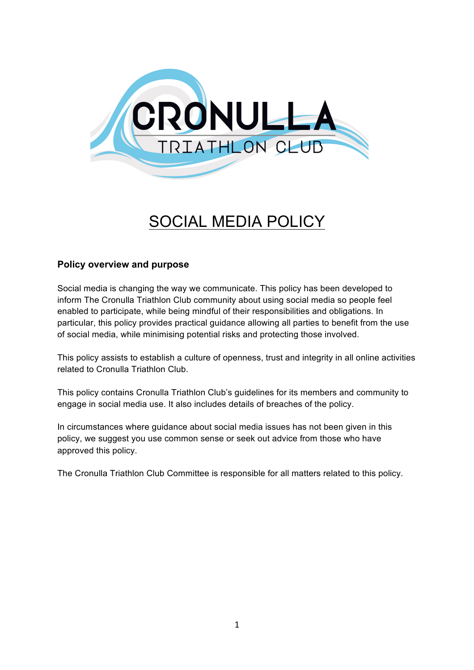

# SOCIAL MEDIA POLICY

# **Policy overview and purpose**

Social media is changing the way we communicate. This policy has been developed to inform The Cronulla Triathlon Club community about using social media so people feel enabled to participate, while being mindful of their responsibilities and obligations. In particular, this policy provides practical guidance allowing all parties to benefit from the use of social media, while minimising potential risks and protecting those involved.

This policy assists to establish a culture of openness, trust and integrity in all online activities related to Cronulla Triathlon Club.

This policy contains Cronulla Triathlon Club's guidelines for its members and community to engage in social media use. It also includes details of breaches of the policy.

In circumstances where guidance about social media issues has not been given in this policy, we suggest you use common sense or seek out advice from those who have approved this policy.

The Cronulla Triathlon Club Committee is responsible for all matters related to this policy.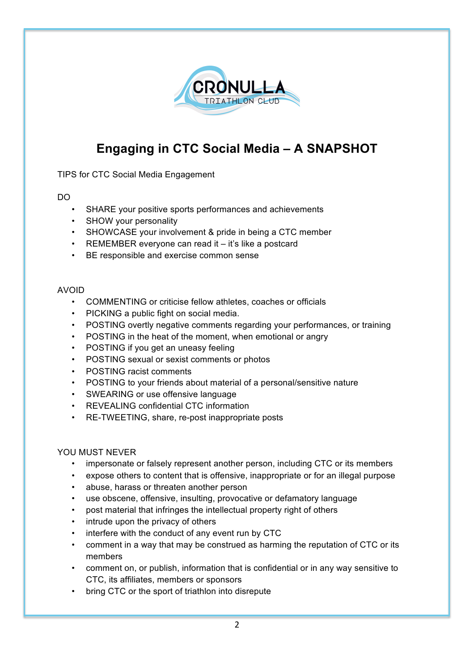

# **Engaging in CTC Social Media – A SNAPSHOT**

TIPS for CTC Social Media Engagement

DO

- SHARE your positive sports performances and achievements
- SHOW your personality
- SHOWCASE your involvement & pride in being a CTC member
- REMEMBER everyone can read it it's like a postcard
- BE responsible and exercise common sense

#### AVOID

- COMMENTING or criticise fellow athletes, coaches or officials
- PICKING a public fight on social media.
- POSTING overtly negative comments regarding your performances, or training
- POSTING in the heat of the moment, when emotional or angry
- POSTING if you get an uneasy feeling
- POSTING sexual or sexist comments or photos
- POSTING racist comments
- POSTING to your friends about material of a personal/sensitive nature
- SWEARING or use offensive language
- REVEALING confidential CTC information
- RE-TWEETING, share, re-post inappropriate posts

# YOU MUST NEVER

- impersonate or falsely represent another person, including CTC or its members
- expose others to content that is offensive, inappropriate or for an illegal purpose
- abuse, harass or threaten another person
- use obscene, offensive, insulting, provocative or defamatory language
- post material that infringes the intellectual property right of others
- intrude upon the privacy of others
- interfere with the conduct of any event run by CTC
- comment in a way that may be construed as harming the reputation of CTC or its members
- comment on, or publish, information that is confidential or in any way sensitive to CTC, its affiliates, members or sponsors
- bring CTC or the sport of triathlon into disrepute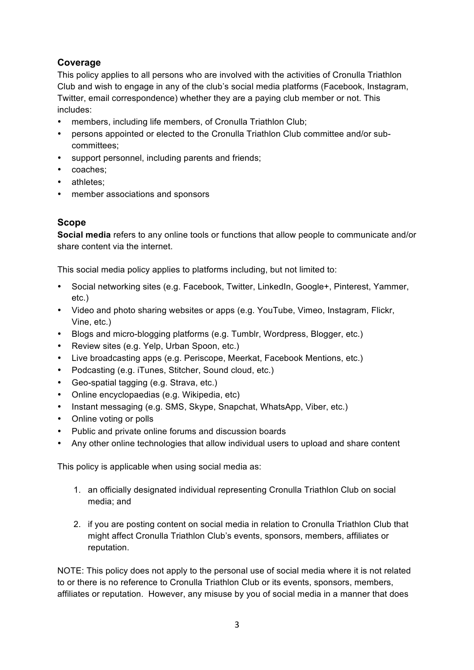# **Coverage**

This policy applies to all persons who are involved with the activities of Cronulla Triathlon Club and wish to engage in any of the club's social media platforms (Facebook, Instagram, Twitter, email correspondence) whether they are a paying club member or not. This includes:

- members, including life members, of Cronulla Triathlon Club;
- persons appointed or elected to the Cronulla Triathlon Club committee and/or subcommittees;
- support personnel, including parents and friends;
- coaches;
- athletes:
- member associations and sponsors

# **Scope**

**Social media** refers to any online tools or functions that allow people to communicate and/or share content via the internet.

This social media policy applies to platforms including, but not limited to:

- Social networking sites (e.g. Facebook, Twitter, LinkedIn, Google+, Pinterest, Yammer, etc.)
- Video and photo sharing websites or apps (e.g. YouTube, Vimeo, Instagram, Flickr, Vine, etc.)
- Blogs and micro-blogging platforms (e.g. Tumblr, Wordpress, Blogger, etc.)
- Review sites (e.g. Yelp, Urban Spoon, etc.)
- Live broadcasting apps (e.g. Periscope, Meerkat, Facebook Mentions, etc.)
- Podcasting (e.g. iTunes, Stitcher, Sound cloud, etc.)
- Geo-spatial tagging (e.g. Strava, etc.)
- Online encyclopaedias (e.g. Wikipedia, etc)
- Instant messaging (e.g. SMS, Skype, Snapchat, WhatsApp, Viber, etc.)
- Online voting or polls
- Public and private online forums and discussion boards
- Any other online technologies that allow individual users to upload and share content

This policy is applicable when using social media as:

- 1. an officially designated individual representing Cronulla Triathlon Club on social media; and
- 2. if you are posting content on social media in relation to Cronulla Triathlon Club that might affect Cronulla Triathlon Club's events, sponsors, members, affiliates or reputation.

NOTE: This policy does not apply to the personal use of social media where it is not related to or there is no reference to Cronulla Triathlon Club or its events, sponsors, members, affiliates or reputation. However, any misuse by you of social media in a manner that does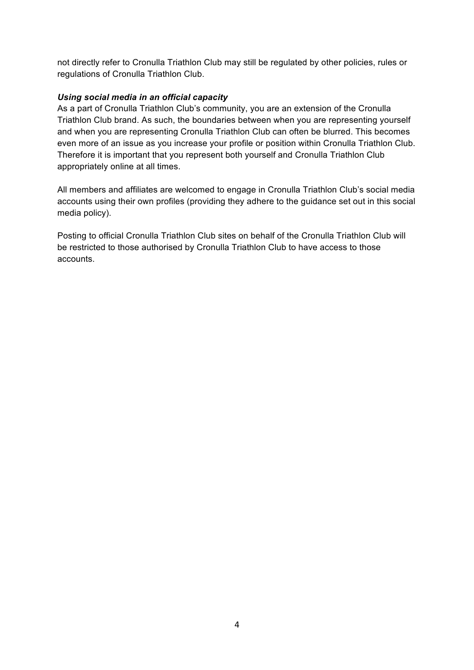not directly refer to Cronulla Triathlon Club may still be regulated by other policies, rules or regulations of Cronulla Triathlon Club.

### *Using social media in an official capacity*

As a part of Cronulla Triathlon Club's community, you are an extension of the Cronulla Triathlon Club brand. As such, the boundaries between when you are representing yourself and when you are representing Cronulla Triathlon Club can often be blurred. This becomes even more of an issue as you increase your profile or position within Cronulla Triathlon Club. Therefore it is important that you represent both yourself and Cronulla Triathlon Club appropriately online at all times.

All members and affiliates are welcomed to engage in Cronulla Triathlon Club's social media accounts using their own profiles (providing they adhere to the guidance set out in this social media policy).

Posting to official Cronulla Triathlon Club sites on behalf of the Cronulla Triathlon Club will be restricted to those authorised by Cronulla Triathlon Club to have access to those accounts.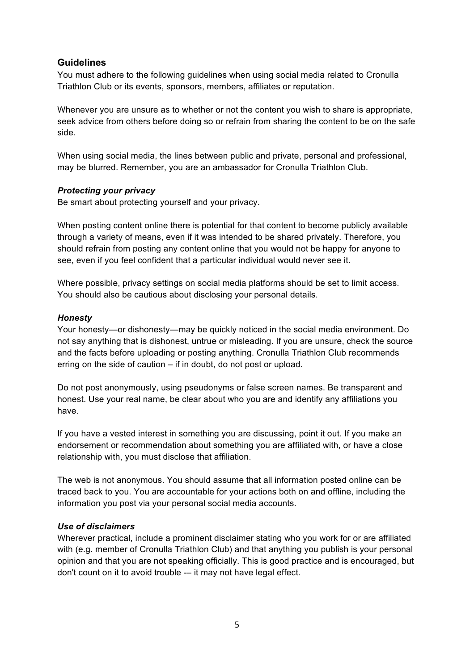# **Guidelines**

You must adhere to the following guidelines when using social media related to Cronulla Triathlon Club or its events, sponsors, members, affiliates or reputation.

Whenever you are unsure as to whether or not the content you wish to share is appropriate, seek advice from others before doing so or refrain from sharing the content to be on the safe side.

When using social media, the lines between public and private, personal and professional, may be blurred. Remember, you are an ambassador for Cronulla Triathlon Club.

#### *Protecting your privacy*

Be smart about protecting yourself and your privacy.

When posting content online there is potential for that content to become publicly available through a variety of means, even if it was intended to be shared privately. Therefore, you should refrain from posting any content online that you would not be happy for anyone to see, even if you feel confident that a particular individual would never see it.

Where possible, privacy settings on social media platforms should be set to limit access. You should also be cautious about disclosing your personal details.

#### *Honesty*

Your honesty—or dishonesty—may be quickly noticed in the social media environment. Do not say anything that is dishonest, untrue or misleading. If you are unsure, check the source and the facts before uploading or posting anything. Cronulla Triathlon Club recommends erring on the side of caution – if in doubt, do not post or upload.

Do not post anonymously, using pseudonyms or false screen names. Be transparent and honest. Use your real name, be clear about who you are and identify any affiliations you have.

If you have a vested interest in something you are discussing, point it out. If you make an endorsement or recommendation about something you are affiliated with, or have a close relationship with, you must disclose that affiliation.

The web is not anonymous. You should assume that all information posted online can be traced back to you. You are accountable for your actions both on and offline, including the information you post via your personal social media accounts.

#### *Use of disclaimers*

Wherever practical, include a prominent disclaimer stating who you work for or are affiliated with (e.g. member of Cronulla Triathlon Club) and that anything you publish is your personal opinion and that you are not speaking officially. This is good practice and is encouraged, but don't count on it to avoid trouble -– it may not have legal effect.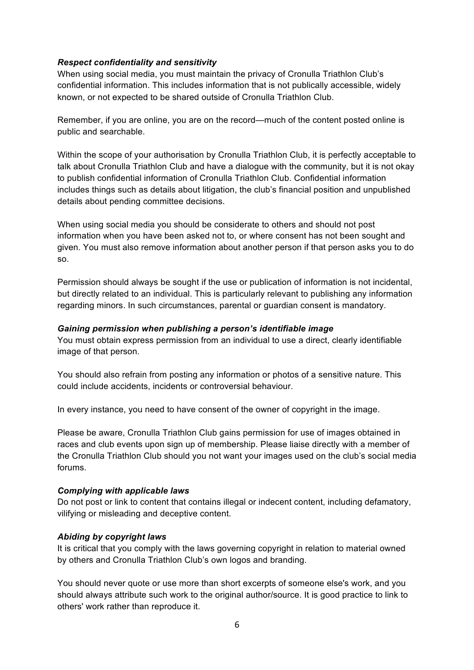#### *Respect confidentiality and sensitivity*

When using social media, you must maintain the privacy of Cronulla Triathlon Club's confidential information. This includes information that is not publically accessible, widely known, or not expected to be shared outside of Cronulla Triathlon Club.

Remember, if you are online, you are on the record—much of the content posted online is public and searchable.

Within the scope of your authorisation by Cronulla Triathlon Club, it is perfectly acceptable to talk about Cronulla Triathlon Club and have a dialogue with the community, but it is not okay to publish confidential information of Cronulla Triathlon Club. Confidential information includes things such as details about litigation, the club's financial position and unpublished details about pending committee decisions.

When using social media you should be considerate to others and should not post information when you have been asked not to, or where consent has not been sought and given. You must also remove information about another person if that person asks you to do so.

Permission should always be sought if the use or publication of information is not incidental, but directly related to an individual. This is particularly relevant to publishing any information regarding minors. In such circumstances, parental or guardian consent is mandatory.

#### *Gaining permission when publishing a person's identifiable image*

You must obtain express permission from an individual to use a direct, clearly identifiable image of that person.

You should also refrain from posting any information or photos of a sensitive nature. This could include accidents, incidents or controversial behaviour.

In every instance, you need to have consent of the owner of copyright in the image.

Please be aware, Cronulla Triathlon Club gains permission for use of images obtained in races and club events upon sign up of membership. Please liaise directly with a member of the Cronulla Triathlon Club should you not want your images used on the club's social media forums.

#### *Complying with applicable laws*

Do not post or link to content that contains illegal or indecent content, including defamatory, vilifying or misleading and deceptive content.

#### *Abiding by copyright laws*

It is critical that you comply with the laws governing copyright in relation to material owned by others and Cronulla Triathlon Club's own logos and branding.

You should never quote or use more than short excerpts of someone else's work, and you should always attribute such work to the original author/source. It is good practice to link to others' work rather than reproduce it.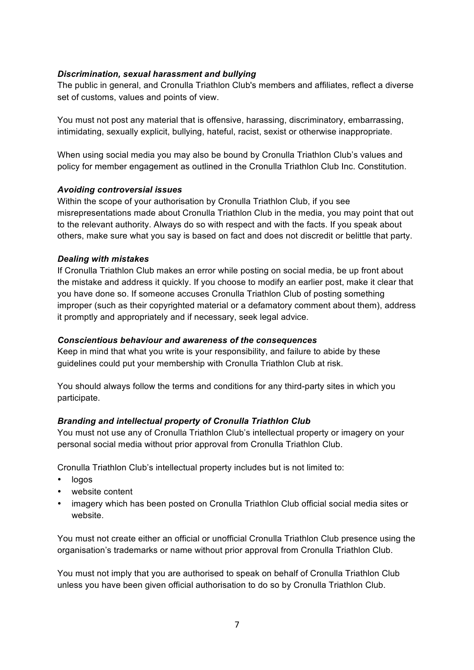#### *Discrimination, sexual harassment and bullying*

The public in general, and Cronulla Triathlon Club's members and affiliates, reflect a diverse set of customs, values and points of view.

You must not post any material that is offensive, harassing, discriminatory, embarrassing, intimidating, sexually explicit, bullying, hateful, racist, sexist or otherwise inappropriate.

When using social media you may also be bound by Cronulla Triathlon Club's values and policy for member engagement as outlined in the Cronulla Triathlon Club Inc. Constitution.

#### *Avoiding controversial issues*

Within the scope of your authorisation by Cronulla Triathlon Club, if you see misrepresentations made about Cronulla Triathlon Club in the media, you may point that out to the relevant authority. Always do so with respect and with the facts. If you speak about others, make sure what you say is based on fact and does not discredit or belittle that party.

#### *Dealing with mistakes*

If Cronulla Triathlon Club makes an error while posting on social media, be up front about the mistake and address it quickly. If you choose to modify an earlier post, make it clear that you have done so. If someone accuses Cronulla Triathlon Club of posting something improper (such as their copyrighted material or a defamatory comment about them), address it promptly and appropriately and if necessary, seek legal advice.

#### *Conscientious behaviour and awareness of the consequences*

Keep in mind that what you write is your responsibility, and failure to abide by these guidelines could put your membership with Cronulla Triathlon Club at risk.

You should always follow the terms and conditions for any third-party sites in which you participate.

#### *Branding and intellectual property of Cronulla Triathlon Club*

You must not use any of Cronulla Triathlon Club's intellectual property or imagery on your personal social media without prior approval from Cronulla Triathlon Club.

Cronulla Triathlon Club's intellectual property includes but is not limited to:

- logos
- website content
- imagery which has been posted on Cronulla Triathlon Club official social media sites or website.

You must not create either an official or unofficial Cronulla Triathlon Club presence using the organisation's trademarks or name without prior approval from Cronulla Triathlon Club.

You must not imply that you are authorised to speak on behalf of Cronulla Triathlon Club unless you have been given official authorisation to do so by Cronulla Triathlon Club.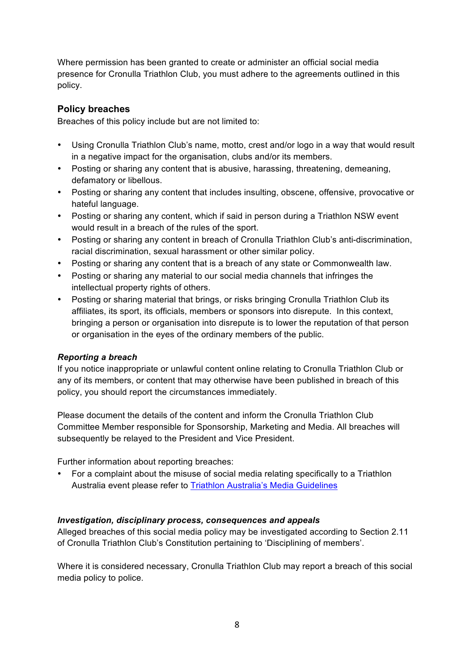Where permission has been granted to create or administer an official social media presence for Cronulla Triathlon Club, you must adhere to the agreements outlined in this policy.

# **Policy breaches**

Breaches of this policy include but are not limited to:

- Using Cronulla Triathlon Club's name, motto, crest and/or logo in a way that would result in a negative impact for the organisation, clubs and/or its members.
- Posting or sharing any content that is abusive, harassing, threatening, demeaning, defamatory or libellous.
- Posting or sharing any content that includes insulting, obscene, offensive, provocative or hateful language.
- Posting or sharing any content, which if said in person during a Triathlon NSW event would result in a breach of the rules of the sport.
- Posting or sharing any content in breach of Cronulla Triathlon Club's anti-discrimination, racial discrimination, sexual harassment or other similar policy.
- Posting or sharing any content that is a breach of any state or Commonwealth law.
- Posting or sharing any material to our social media channels that infringes the intellectual property rights of others.
- Posting or sharing material that brings, or risks bringing Cronulla Triathlon Club its affiliates, its sport, its officials, members or sponsors into disrepute. In this context, bringing a person or organisation into disrepute is to lower the reputation of that person or organisation in the eyes of the ordinary members of the public.

# *Reporting a breach*

If you notice inappropriate or unlawful content online relating to Cronulla Triathlon Club or any of its members, or content that may otherwise have been published in breach of this policy, you should report the circumstances immediately.

Please document the details of the content and inform the Cronulla Triathlon Club Committee Member responsible for Sponsorship, Marketing and Media. All breaches will subsequently be relayed to the President and Vice President.

Further information about reporting breaches:

• For a complaint about the misuse of social media relating specifically to a Triathlon Australia event please refer to Triathlon Australia's Media Guidelines

# *Investigation, disciplinary process, consequences and appeals*

Alleged breaches of this social media policy may be investigated according to Section 2.11 of Cronulla Triathlon Club's Constitution pertaining to 'Disciplining of members'.

Where it is considered necessary, Cronulla Triathlon Club may report a breach of this social media policy to police.